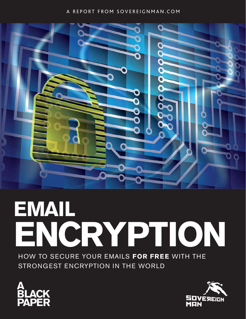#### A REPORT FROM SOVEREIGNMAN.COM



# **EMAIL ENCRYPTION**

HOW TO SECURE YOUR EMAILS **FOR FREE** WITH THE STRONGEST ENCRYPTION IN THE WORLD



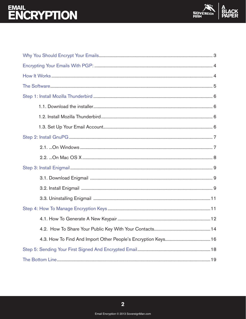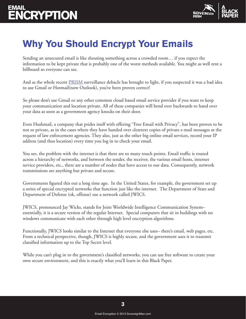

### **Why You Should Encrypt Your Emails**

Sending an unsecured email is like shouting something across a crowded room… if you expect the information to be kept private that is probably one of the worst methods available. You might as well rent a billboard so everyone can see.

And as the whole recent [PRISM](https://en.wikipedia.org/wiki/PRISM_(surveillance_program)) surveillance debacle has brought to light, if you suspected it was a bad idea to use Gmail or Hotmail(now Outlook), you've been proven correct!

So please don't use Gmail or any other common cloud based email service provider if you want to keep your communication and location private. All of these companies will bend over backwards to hand over your data as soon as a government agency knocks on their door.

Even Hushmail, a company that prides itself with offering "Free Email with Privacy", has been proven to be not so private, as in the cases where they have handed over cleartext copies of private e-mail messages at the request of law enforcement agencies. They also, just as the other big online email services, record your IP address (and thus location) every time you log in to check your email.

You see, the problem with the internet is that there are so many touch points. Email traffic is routed across a hierarchy of networks, and between the sender, the receiver, the various email hosts, internet service providers, etc., there are a number of nodes that have access to our data. Consequently, network transmissions are anything but private and secure.

Governments figured this out a long time ago. In the United States, for example, the government set up a series of special encrypted networks that function just like the internet. The Department of State and Department of Defense (ok, offense) use a network called JWICS.

JWICS, pronounced Jay Wicks, stands for Joint Worldwide Intelligence Communication System– essentially, it is a secure version of the regular Internet. Special computers that sit in buildings with no windows communicate with each other through high level encryption algorithms.

Functionally, JWICS looks similar to the Internet that everyone else uses– there's email, web pages, etc. From a technical perspective, though, JWICS is highly secure, and the government uses it to transmit classified information up to the Top Secret level.

While you can't plug in to the government's classified networks, you can use free software to create your own secure environment, and this is exactly what you'll learn in this Black Paper.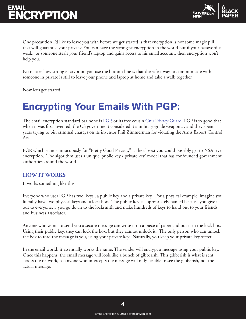

One precaution I'd like to leave you with before we get started is that encryption is not some magic pill that will guarantee your privacy. You can have the strongest encryption in the world but if your password is weak, or someone steals your friend's laptop and gains access to his email account, then encryption won't help you.

No matter how strong encryption you use the bottom line is that the safest way to communicate with someone in private is still to leave your phone and laptop at home and take a walk together.

Now let's get started.

### **Encrypting Your Emails With PGP:**

The email encryption standard bar none is [PGP](https://en.wikipedia.org/wiki/Pretty_Good_Privacy), or its free cousin [Gnu Privacy Guard](http://www.gnupg.org/). PGP is so good that when it was first invented, the US government considered it a military-grade weapon… and they spent years trying to pin criminal charges on its inventor Phil Zimmerman for violating the Arms Export Control Act.

PGP, which stands innocuously for "Pretty Good Privacy," is the closest you could possibly get to NSA level encryption. The algorithm uses a unique 'public key / private key' model that has confounded government authorities around the world.

#### **HOW IT WORKS**

It works something like this:

Everyone who uses PGP has two 'keys', a public key and a private key. For a physical example, imagine you literally have two physical keys and a lock box. The public key is appropriately named because you give it out to everyone… you go down to the locksmith and make hundreds of keys to hand out to your friends and business associates.

Anyone who wants to send you a secure message can write it on a piece of paper and put it in the lock box. Using their public key, they can lock the box, but they cannot unlock it. The only person who can unlock the box to read the message is you, using your private key. Naturally, you keep your private key secret.

In the email world, it essentially works the same. The sender will encrypt a message using your public key. Once this happens, the email message will look like a bunch of gibberish. This gibberish is what is sent across the network, so anyone who intercepts the message will only be able to see the gibberish, not the actual message.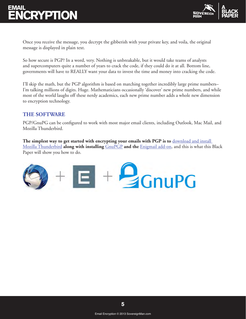

Once you receive the message, you decrypt the gibberish with your private key, and voila, the original message is displayed in plain text.

So how secure is PGP? In a word, very. Nothing is unbreakable, but it would take teams of analysts and supercomputers quite a number of years to crack the code, if they could do it at all. Bottom line, governments will have to REALLY want your data to invest the time and money into cracking the code.

I'll skip the math, but the PGP algorithm is based on matching together incredibly large prime numbers– I'm talking millions of digits. Huge. Mathematicians occasionally 'discover' new prime numbers, and while most of the world laughs off these nerdy academics, each new prime number adds a whole new dimension to encryption technology.

#### **THE SOFTWARE**

PGP/GnuPG can be configured to work with most major email clients, including Outlook, Mac Mail, and Mozilla Thunderbird.

**The simplest way to get started with encrypting your emails with PGP is to** [download and install](https://www.mozilla.org/en-US/thunderbird/)  [Mozilla Thunderbird](https://www.mozilla.org/en-US/thunderbird/) **along with installing** [GnuPGP](http://www.gnupg.org/) **and the** [Enigmail add-on,](http://www.enigmail.net/home/index.php) and this is what this Black Paper will show you how to do.

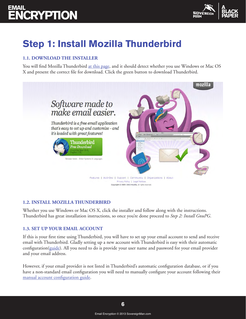

### **Step 1: Install Mozilla Thunderbird**

#### **1.1. DOWNLOAD THE INSTALLER**

You will find Mozilla Thunderbird [at this page](https://www.mozilla.org/en-US/thunderbird/), and it should detect whether you use Windows or Mac OS X and present the correct file for download. Click the green button to download Thunderbird.



#### **1.2. INSTALL MOZILLA THUNDERBIRD**

Whether you use Windows or Mac OS X, click the installer and follow along with the instructions. Thunderbird has great installation instructions, so once you're done proceed to *Step 2: Install GnuPG*.

#### **1.3. SET UP YOUR EMAIL ACCOUNT**

If this is your first time using Thunderbird, you will have to set up your email account to send and receive email with Thunderbird. Gladly setting up a new account with Thunderbird is easy with their automatic configuration( $\frac{quide}{du}$ ). All you need to do is provide your user name and password for your email provider and your email address.

However, if your email provider is not listed in Thunderbird's automatic configuration database, or if you have a non-standard email configuration you will need to manually configure your account following their [manual account configuration guide.](https://support.mozillamessaging.com/en-US/kb/manual-account-configuration)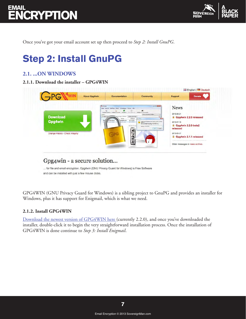

Once you've got your email account set up then proceed to *Step 2: Install GnuPG*.

### **Step 2: Install GnuPG**

#### **2.1. ...ON WINDOWS**

#### **2.1.1. Download the installer – GPG4WIN**



### Gpg4win - a secure solution...

... for file and email encryption. Gpg4win (GNU Privacy Guard for Windows) is Free Software and can be installed with just a few mouse clicks.

GPG4WIN (GNU Privacy Guard for Windows) is a sibling project to GnuPG and provides an installer for Windows, plus it has support for Enigmail, which is what we need.

#### **2.1.2. Install GPG4WIN**

[Download the newest version of GPG4WIN here](http://www.gpg4win.org/download.html) (currently 2.2.0), and once you've downloaded the installer, double-click it to begin the very straightforward installation process. Once the installation of GPG4WIN is done continue to *Step 3: Install Enigmail*.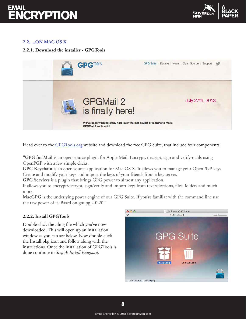

#### **2.2. ...ON MAC OS X**

#### **2.2.1. Download the installer - GPGTools**



Head over to the [GPGTools.org](https://gpgtools.org/) website and download the free GPG Suite, that include four components:

**"GPG for Mail** is an open source plugin for Apple Mail. Encrypt, decrypt, sign and verify mails using OpenPGP with a few simple clicks.

**GPG Keychain** is an open source application for Mac OS X. It allows you to manage your OpenPGP keys. Create and modify your keys and import the keys of your friends from a key server.

**GPG Services** is a plugin that brings GPG power to almost any application.

It allows you to encrypt/decrypt, sign/verify and import keys from text selections, files, folders and much more.

**MacGPG** is the underlying power engine of our GPG Suite. If you're familiar with the command line use the raw power of it. Based on gnupg 2.0.20."

#### **2.2.2. Install GPGTools**

Double-click the .dmg file which you've now downloaded. This will open up an installation window as you can see below. Now double-click the Install.pkg icon and follow along with the instructions. Once the installation of GPGTools is done continue to *Step 3: Install Enigmail*.

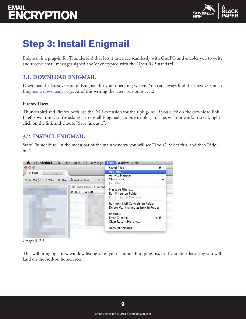

### **Step 3: Install Enigmail**

[Enigmail](https://www.enigmail.net/home/index.php) is a plug-in for Thunderbird that lets it interface seamlessly with GnuPG and enables you to write and receive email messages signed and/or encrypted with the OpenPGP standard.

### **3.1. DOWNLOAD ENIGMAIL**

Download the latest version of Enigmail for your operating system. You can always find the latest version at [Enigmail's downloads page.](https://www.enigmail.net/download/index.php) As of this writing the latest version is 1.5.2.

#### **Firefox Users:**

Thunderbird and Firefox both use the .XPI extension for their plug-ins. If you click on the download link, Firefox will think you're asking it to install Enigmail as a Firefox plug-in. This will not work. Instead, rightclick on the link and choose "Save link as...".

#### **3.2. INSTALL ENIGMAIL**

Start Thunderbird. In the menu bar of the main window you will see "Tools". Select this, and then "Addons".



*Image 3.2.1.*

This will bring up a new window listing all of your Thunderbird plug-ins, or if you don't have any you will land on the Add-on homescreen.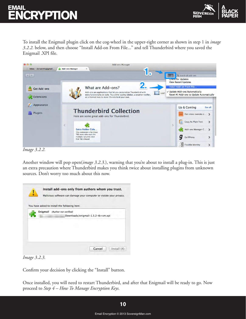

To install the Enigmail plugin click on the cog-wheel in the upper-right corner as shown in step 1 in *image 3.2.2.* below, and then choose "Install Add-on From File..." and tell Thunderbird where you saved the Enigmail .XPI file.



*Image 3.2.2.*

Another window will pop open(*image 3.2.3.*), warning that you're about to install a plug-in. This is just an extra precaution where Thunderbird makes you think twice about installing plugins from unknown sources. Don't worry too much about this now.

| Downloads/enigmail-1.5.2-tb+sm.xpi |  |
|------------------------------------|--|
|                                    |  |
|                                    |  |
|                                    |  |



Confirm your decision by clicking the "Install" button.

Once installed, you will need to restart Thunderbird, and after that Enigmail will be ready to go. Now proceed to *Step 4 – How To Manage Encryption Keys.*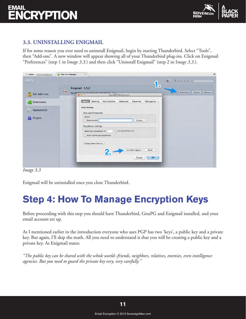

#### **3.3. UNINSTALLING ENIGMAIL**

If for some reason you ever need to uninstall Enigmail, begin by starting Thunderbird. Select "Tools", then "Add-ons". A new window will appear showing all of your Thunderbird plug-ins. Click on Enigmail "Preferences" (step 1 in I*mage 3.3.*) and then click "Uninstall Enigmail" (step 2 in I*mage 3.3.*).

| Inbox -<br><b>Charles</b>                            | Add-ons Manager<br>$\boldsymbol{\times}$                                                                                          | 具                                       |
|------------------------------------------------------|-----------------------------------------------------------------------------------------------------------------------------------|-----------------------------------------|
| $\begin{array}{c c c c} A & B \\ \hline \end{array}$ | <b>1.</b>                                                                                                                         | **<br>Q Search all add-ons              |
| <b>Get Add-ons</b>                                   | Enigmail 1.5.2<br>$\mathcal{C}$<br>OpenPGP message encryption and authentication More<br><b>OpenPGP Preferences</b><br>000        | Preferences<br><b>Disable</b><br>Remove |
| <b>Extensions</b>                                    | <b>Basic</b><br>Sending<br>Key Selection   Advanced   Keyserver<br>Debugging                                                      |                                         |
| Appearance<br>Plugins                                | <b>Basic Settings</b><br><b>Files and Directories</b><br>(error)<br>Override with<br>Browse                                       |                                         |
|                                                      | Passphrase settings<br>$\boxed{0}$ $\binom{4}{x}$ minutes of idle time<br>Remember passphrase for<br>Never ask for any passphrase |                                         |
|                                                      | <b>Display Expert Settings</b><br><b>Uninstall Enigmail</b><br>Reset<br>OK<br>Cancel                                              |                                         |

*Image 3.3*

Enigmail will be uninstalled once you close Thunderbird.

### **Step 4: How To Manage Encryption Keys**

Before proceeding with this step you should have Thunderbird, GnuPG and Enigmail installed, and your email account set up.

As I mentioned earlier in the introduction everyone who uses PGP has two 'keys', a public key and a private key. But again, I'll skip the math. All you need to understand is that you will be creating a public key and a private key. As Enigmail states:

*"The public key can be shared with the whole world--friends, neighbors, relatives, enemies, even intelligence agencies. But you need to guard the private key very, very carefully."*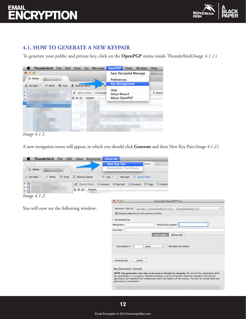

#### **4.1. HOW TO GENERATE A NEW KEYPAIR**

To generate your public and private key, click on the **OpenPGP** menu inside Thunderbird(*Image 4.1.1.*)



*Image 4.1.1.*

A new navigation menu will appear, in which you should click **Generate** and then New Key Pair.(*Image 4.1.2.*)



*Image 4.1.2.*

You will now see the following window:

|                                                                  | <b>Generate OpenPGP Key</b>                                                                                                                                                                                                                                                                                         |
|------------------------------------------------------------------|---------------------------------------------------------------------------------------------------------------------------------------------------------------------------------------------------------------------------------------------------------------------------------------------------------------------|
| Account / User ID<br>Use generated key for the selected identity | ÷                                                                                                                                                                                                                                                                                                                   |
| No passphrase                                                    |                                                                                                                                                                                                                                                                                                                     |
| Passphrase                                                       | Passphrase (repeat)                                                                                                                                                                                                                                                                                                 |
| Comment                                                          |                                                                                                                                                                                                                                                                                                                     |
|                                                                  | Advanced<br><b>Key expiry</b>                                                                                                                                                                                                                                                                                       |
| Key expires in<br>5                                              | Key does not expire<br>÷<br>vears                                                                                                                                                                                                                                                                                   |
|                                                                  |                                                                                                                                                                                                                                                                                                                     |
| <b>Generate key</b>                                              | Cancel                                                                                                                                                                                                                                                                                                              |
| <b>Key Generation Console</b>                                    |                                                                                                                                                                                                                                                                                                                     |
| generation is completed.                                         | NOTE: Key generation may take up to several minutes to complete. Do not exit the application while<br>key generation is in progress. Actively browsing or performing disk-intensive operations during key<br>generation will replenish the 'randomness pool' and speed-up the process. You will be alerted when key |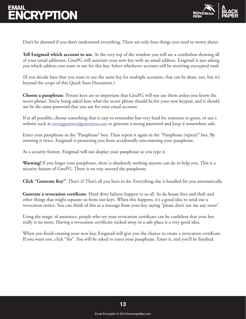

Don't be alarmed if you don't understand everything. There are only four things you need to worry about.

**Tell Enigmail which account to use**. At the very top of the window you will see a combobox showing all of your email addresses. GnuPG will associate your new key with an email address. Enigmail is just asking you which address you want to use for this key. Select whichever account will be receiving encrypted mail.

(If you decide later that you want to use the same key for multiple accounts, that can be done, too, but it's beyond the scope of this Quick Start Document.)

**Choose a passphrase**. Private keys are so important that GnuPG will not use them unless you know the secret phrase. You're being asked here what the secret phrase should be for your new keypair, and it should *not* be the same password that you use for your email account.

If at all possible, choose something that is easy to remember but very hard for someone to guess, or use a website such as [strongpasswordgenerator.com](http://strongpasswordgenerator.com/) to generate a strong password and keep it somewhere safe.

Enter your passphrase in the "Passphrase" box. Then repeat it again in the "Passphrase (repeat)" box. By entering it twice, Enigmail is protecting you from accidentally mis-entering your passphrase.

As a security feature, Enigmail will not display your passphrase as you type it.

**Warning!** If you forget your passphrase, there is absolutely nothing anyone can do to help you. This is a security feature of GnuPG. There is no way around the passphrase.

**Click "Generate Key"**. That's it! That's all you have to do. Everything else is handled for you automatically.

**Generate a revocation certificate**. Hard drive failures happen to us all. So do house fires and theft and other things that might separate us from our keys. When this happens, it's a good idea to send out a revocation notice. You can think of this as a message from your key saying "please don't use me any more".

Using the magic of assurance, people who see your revocation certificate can be confident that your key really is no more. Having a revocation certificate tucked away in a safe place is a very good idea.

When you finish creating your new key, Enigmail will give you the chance to create a revocation certificate. If you want one, click "Yes". You will be asked to enter your passphrase. Enter it, and you'll be finished.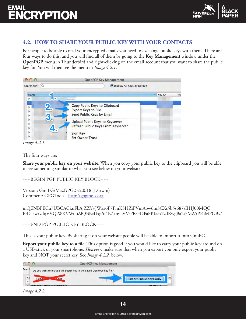

#### **4.2. HOW TO SHARE YOUR PUBLIC KEY WITH YOUR CONTACTS**

For people to be able to read your encrypted emails you need to exchange public keys with them. There are four ways to do this, and you will find all of them by going to the **Key Management** window under the **OpenPGP** menu in Thunderbird and right-clicking on the email account that you want to share the public key for. You will then see the menu in *Image 4.2.1*.



*Image 4.2.1.*

The four ways are:

**Share your public key on your website**. When you copy your public key to the clipboard you will be able to see something similar to what you see below on your website:

-----BEGIN PGP PUBLIC KEY BLOCK-----

Version: GnuPG/MacGPG2 v2.0.18 (Darwin) Comment: GPGTools - [http://gpgtools.org](http://gpgtools.org/)

mQENBFECu7UBCACkuFbAjZZY+JWxa6F7FmKSHZiPVmAbw6m3CXs5b5s687sIIHJ00MQC PrDaewrvdqVVQiWKVWuuAlQBEcUxg/u4E7+nyLVVrPRs5DPaFKIaex7zdRwgBa2t5MA5PPoMPGBv/

-----END PGP PUBLIC KEY BLOCK-----

This is your public key. By sharing it on your website people will be able to import it into GnuPG.

**Export your public key to a file**. This option is good if you would like to carry your public key around on a USB-stick or your smartphone. *However*, make sure that when you export you only export your public key and NOT your secret key. See *Image 4.2.2.* below.

|                   |             | OpenPGP Key Management                                                                                               |
|-------------------|-------------|----------------------------------------------------------------------------------------------------------------------|
| Search<br>Na<br>ь | <b>Expo</b> | Do you want to include the secret key in the saved OpenPGP key file?<br><b>IEU</b><br><b>Export Public Keys Only</b> |

*Image 4.2.2.*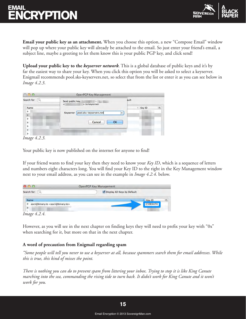

**Email your public key as an attachment.** When you choose this option, a new "Compose Email" window will pop up where your public key will already be attached to the email. So just enter your friend's email, a subject line, maybe a greeting to let them know this is your public PGP key, and click send!

**Upload your public key to the** *keyserver network*. This is a global database of public keys and it's by far the easiest way to share your key. When you click this option you will be asked to select a keyserver. Enigmail recommends pool.sks-keyservers.net, so select that from the list or enter it as you can see below in *Image 4.2.3*.

| 000          | <b>OpenPGP Key Management</b>        |                        |
|--------------|--------------------------------------|------------------------|
| Search for:  | Send public key<br>> to keyserver:   | ault                   |
| Name         |                                      | A Key ID<br>巴          |
| Þ            | pool.sks-keyservers.net<br>Keyserver | $\overline{\mathbf v}$ |
| b            |                                      |                        |
| ь            |                                      |                        |
| Þ            | Cancel<br>OK                         |                        |
| ь            |                                      |                        |
| Þ            |                                      |                        |
| ь            |                                      |                        |
| Image 4.2.3. |                                      |                        |

Your public key is now published on the internet for anyone to find!

If your friend wants to find your key then they need to know your *Key ID*, which is a sequence of letters and numbers eight characters long. You will find your Key ID to the right in the Key Management window next to your email address, as you can see in the example in *Image 4.2.4.* below.

| 000                                                 | OpenPGP Key Management      |
|-----------------------------------------------------|-----------------------------|
| Search for:                                         | Display All Keys by Default |
| Name                                                | 民<br>Key ID                 |
| ascii@binary.to <ascii@binary.to></ascii@binary.to> | C59E4474                    |
|                                                     |                             |
| Image 4.2.4.                                        |                             |

However, as you will see in the next chapter on finding keys they will need to prefix your key with "0x" when searching for it, but more on that in the next chapter.

#### **A word of precaution from Enigmail regarding spam**

*"Some people will tell you never to use a keyserver at all, because spammers search them for email addresses. While this is true, this kind of misses the point.* 

*There is nothing you can do to prevent spam from littering your inbox. Trying to stop it is like King Canute marching into the sea, commanding the rising tide to turn back. It didn't work for King Canute and it won't work for you.*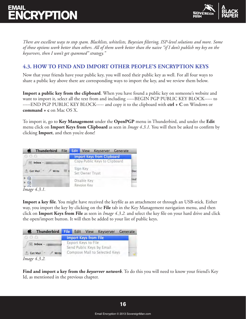

*There are excellent ways to stop spam. Blacklists, whitelists, Bayesian filtering, ISP-level solutions and more. Some of those options work better than others. All of them work better than the naive "if I don't publish my key on the keyservers, then I won't get spammed" strategy."*

#### **4.3. HOW TO FIND AND IMPORT OTHER PEOPLE'S ENCRYPTION KEYS**

Now that your friends have your public key, you will need their public key as well. For all four ways to share a public key above there are corresponding ways to import the key, and we review them below.

**Import a public key from the clipboard**. When you have found a public key on someone's website and want to import it, select all the text from and including -----BEGIN PGP PUBLIC KEY BLOCK----- to -----END PGP PUBLIC KEY BLOCK----- and copy it to the clipboard with **ctrl + C** on Windows or **command + c** on Mac OS X.

To import it, go to **Key Management** under the **OpenPGP** menu in Thunderbird, and under the **Edit** menu click on **Import Keys from Clipboard** as seen in *Image 4.3.1.* You will then be asked to confirm by clicking **Import**, and then you're done!

| Thunderbird File             | <b>Edit</b> View<br>Keyserver Generate |      |
|------------------------------|----------------------------------------|------|
| n a a                        | <b>Import Keys from Clipboard</b>      |      |
| $In box -$                   | Copy Public Keys to Clipboard          |      |
| $Get Mail =$<br><b>Write</b> | Sign Key<br>Set Owner Trust            | Dec  |
| $\circledcirc$<br>$\bigcirc$ | Disable Key<br>Revoke Key              | rred |
| <i>Image</i> 4.3.1.          |                                        |      |

**Import a key file**. You might have received the keyfile as an attachment or through an USB-stick. Either way, you import the key by clicking on the **File** tab in the Key Management navigation menu, and then click on **Import Keys from File** as seen in *Image 4.3.2.* and select the key file on your hard drive and click

| Thunderbird File Edit View |  |                              | Keyserver Generate            |  |
|----------------------------|--|------------------------------|-------------------------------|--|
| nnn                        |  | <b>Import Keys from File</b> |                               |  |
| $Inbox -$                  |  | Export Keys to File          | Send Public Keys by Email     |  |
| Get Mail =<br>Write        |  |                              | Compose Mail to Selected Keys |  |
| <i>Image</i> 4.3.2.        |  |                              |                               |  |

the open/import button. It will then be added to your list of public keys.

**Find and import a key from the** *keyserver network*. To do this you will need to know your friend's Key Id, as mentioned in the previous chapter.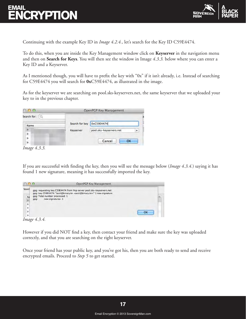

Continuing with the example Key ID in *Image 4.2.4.*, let's search for the Key ID C59E4474.

To do this, when you are inside the Key Management window click on **Keyserver** in the navigation menu and then on **Search for Keys**. You will then see the window in Image *4.3.3.* below where you can enter a Key ID and a Keyserver.

As I mentioned though, you will have to prefix the key with "0x" if it isn't already, i.e. Instead of searching for C59E4474 you will search for **0x**C59E4474, as illustrated in the image.

As for the keyserver we are searching on pool.sks-keyservers.net, the same keyserver that we uploaded your key to in the previous chapter.

|             | OpenPGP Key Management |                         |    |
|-------------|------------------------|-------------------------|----|
| Search for: |                        |                         |    |
| Name        | Search for key         | 0xC59E4474              |    |
|             | Keyserver              | pool.sks-keyservers.net |    |
|             |                        | Cancel                  | ОΚ |

*Image 4.3.3.*

If you are successful with finding the key, then you will see the message below (*Image 4.3.4.*) saying it has found 1 new signature, meaning it has successfully imported the key.

| 000                                   |                                                             | OpenPGP Key Management                                                                                                                                           |   |
|---------------------------------------|-------------------------------------------------------------|------------------------------------------------------------------------------------------------------------------------------------------------------------------|---|
| Searcl<br>Na<br>Þ<br>ь<br>ь<br>Þ<br>ь | qpq: Total number processed: 1<br>new signatures: 1<br>gpg: | gpg: requesting key C59E4474 from hkp server pool.sks-keyservers.net<br>gpg: key C59E4474: "ascii@binary.to <ascii@binary.to>" 1 new signature</ascii@binary.to> | 民 |

*Image 4.3.4.*

However if you did NOT find a key, then contact your friend and make sure the key was uploaded correctly, and that you are searching on the right keyserver.

Once your friend has your public key, and you've got his, then you are both ready to send and receive encrypted emails. Proceed to *Step 5* to get started.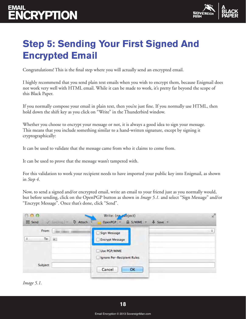

### **Step 5: Sending Your First Signed And Encrypted Email**

Congratulations! This is the final step where you will actually send an encrypted email.

I highly recommend that you send plain text emails when you wish to encrypt them, because Enigmail does not work very well with HTML email. While it can be made to work, it's pretty far beyond the scope of this Black Paper.

If you normally compose your email in plain text, then you're just fine. If you normally use HTML, then hold down the shift key as you click on "Write" in the Thunderbird window.

Whether you choose to encrypt your message or not, it is always a good idea to sign your message. This means that you include something similar to a hand-written signature, except by signing it cryptographically:

It can be used to validate that the message came from who it claims to come from.

It can be used to prove that the message wasn't tampered with.

For this validation to work your recipient needs to have imported your public key into Enigmail, as shown in *Step 4*.

Now, to send a signed and/or encrypted email, write an email to your friend just as you normally would, but before sending, click on the OpenPGP button as shown in *Image 5.1.* and select "Sign Message" and/or "Encrypt Message". Once that's done, click "Send".

| From:              | Sign Message               |  |
|--------------------|----------------------------|--|
| To:<br>$\pmb{1}$ . | <b>Encrypt Message</b>     |  |
|                    | Use PGP/MIME               |  |
|                    | Ignore Per-Recipient Rules |  |

*Image 5.1.*